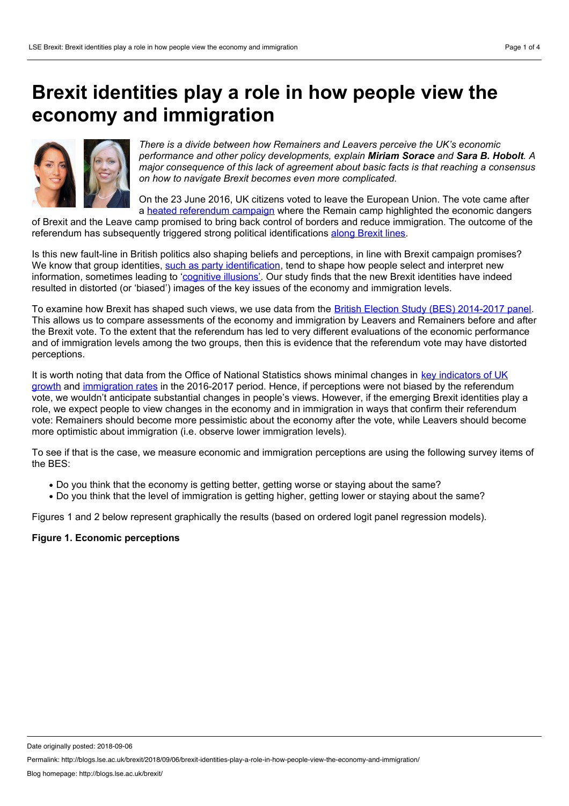## **Brexit identities play a role in how people view the economy and immigration**



*There is a divide between how Remainers and Leavers perceive the UK's economic performance and other policy developments, explain Miriam Sorace and Sara B. Hobolt. A major consequence of this lack of agreement about basic facts is that reaching a consensus on how to navigate Brexit becomes even more complicated.*

On the 23 June 2016, UK citizens voted to leave the European Union. The vote came after a heated [referendum](https://onlinelibrary.wiley.com/doi/abs/10.1111/1467-923X.12258) campaign where the Remain camp highlighted the economic dangers

of Brexit and the Leave camp promised to bring back control of borders and reduce immigration. The outcome of the referendum has subsequently triggered strong political identifications along [Brexit](http://ukandeu.ac.uk/emerging-brexit-identities/) lines.

Is this new fault-line in British politics also shaping beliefs and perceptions, in line with Brexit campaign promises? We know that group identities, such as party [identification](http://eprints.lse.ac.uk/64671/1/Leeper_Political parties_2016.pdf), tend to shape how people select and interpret new information, sometimes leading to '[cognitive](https://www.amazon.co.uk/Cognitive-Illusions-Handbook-Fallacies-Judgement/dp/1841693510) illusions'. Our study finds that the new Brexit identities have indeed resulted in distorted (or 'biased') images of the key issues of the economy and immigration levels.

To examine how Brexit has shaped such views, we use data from the British Election Study (BES) [2014-2017](http://www.britishelectionstudy.com/data-objects/panel-study-data/) panel. This allows us to compare assessments of the economy and immigration by Leavers and Remainers before and after the Brexit vote. To the extent that the referendum has led to very different evaluations of the economic performance and of immigration levels among the two groups, then this is evidence that the referendum vote may have distorted perceptions.

It is worth noting that data from the Office of National Statistics shows minimal changes in key indicators of UK growth and [immigration](https://www.ons.gov.uk/peoplepopulationandcommunity/populationandmigration/internationalmigration/bulletins/migrationstatisticsquarterlyreport/july2018revisedfrommaycoveringtheperiodtodecember2017) rates in the 2016-2017 period. Hence, if [perceptions](https://www.ons.gov.uk/economy/grossdomesticproductgdp/bulletins/quarterlynationalaccounts/octobertodecember2017) were not biased by the referendum vote, we wouldn't anticipate substantial changes in people's views. However, if the emerging Brexit identities play a role, we expect people to view changes in the economy and in immigration in ways that confirm their referendum vote: Remainers should become more pessimistic about the economy after the vote, while Leavers should become more optimistic about immigration (i.e. observe lower immigration levels).

To see if that is the case, we measure economic and immigration perceptions are using the following survey items of the BES:

- Do you think that the economy is getting better, getting worse or staying about the same?
- Do you think that the level of immigration is getting higher, getting lower or staying about the same?

Figures 1 and 2 below represent graphically the results (based on ordered logit panel regression models).

## **Figure 1. Economic perceptions**

Date originally posted: 2018-09-06

Permalink: http://blogs.lse.ac.uk/brexit/2018/09/06/brexit-identities-play-a-role-in-how-people-view-the-economy-and-immigration/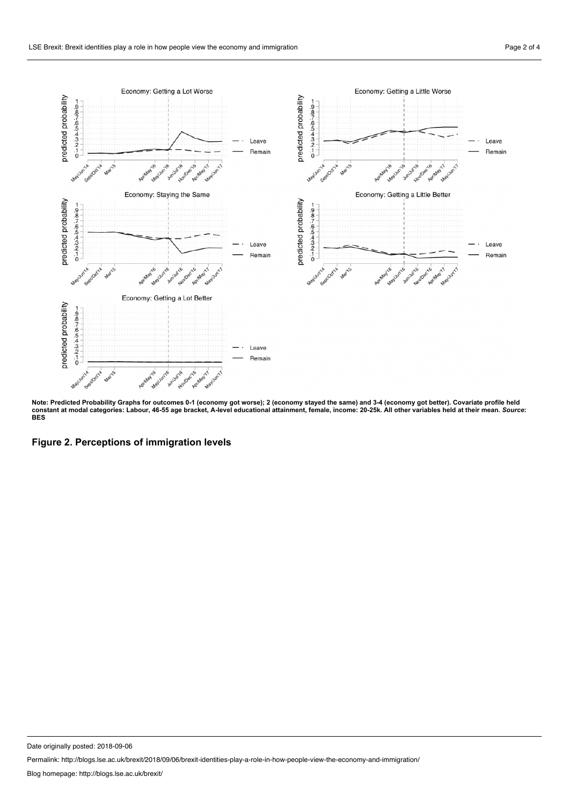

Note: Predicted Probability Graphs for outcomes 0-1 (economy got worse); 2 (economy stayed the same) and 3-4 (economy got better). Covariate profile held constant at modal categories: Labour, 46-55 age bracket, A-level educational attainment, female, income: 20-25k. All other variables held at their mean. So*urce*:<br>BES

**Figure 2. Perceptions of immigration levels**

Date originally posted: 2018-09-06

Permalink: http://blogs.lse.ac.uk/brexit/2018/09/06/brexit-identities-play-a-role-in-how-people-view-the-economy-and-immigration/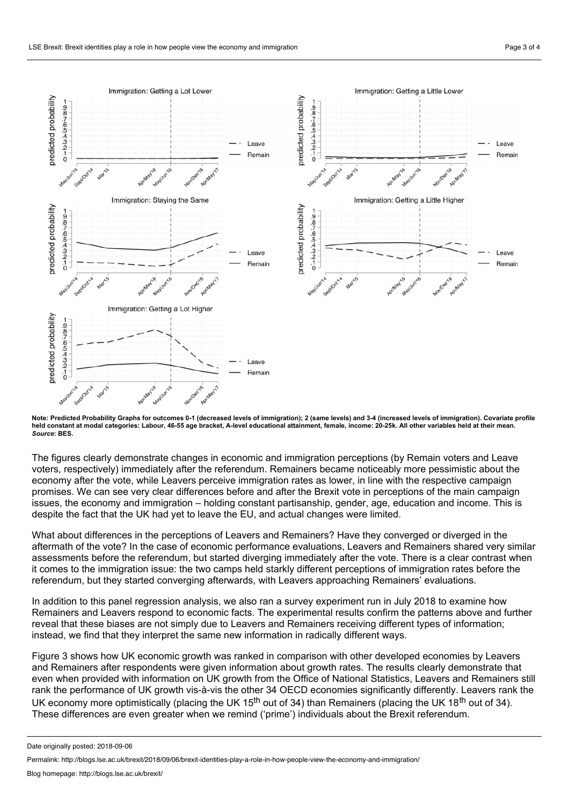

Note: Predicted Probability Graphs for outcomes 0-1 (decreased levels of immigration); 2 (same levels) and 3-4 (increased levels of immigration). Covariate profile held constant at modal categories: Labour, 46-55 age bracket, A-level educational attainment, female, income: 20-25k. All other variables held at their mean. *Source***: BES.**

The figures clearly demonstrate changes in economic and immigration perceptions (by Remain voters and Leave voters, respectively) immediately after the referendum. Remainers became noticeably more pessimistic about the economy after the vote, while Leavers perceive immigration rates as lower, in line with the respective campaign promises. We can see very clear differences before and after the Brexit vote in perceptions of the main campaign issues, the economy and immigration – holding constant partisanship, gender, age, education and income. This is despite the fact that the UK had yet to leave the EU, and actual changes were limited.

What about differences in the perceptions of Leavers and Remainers? Have they converged or diverged in the aftermath of the vote? In the case of economic performance evaluations, Leavers and Remainers shared very similar assessments before the referendum, but started diverging immediately after the vote. There is a clear contrast when it comes to the immigration issue: the two camps held starkly different perceptions of immigration rates before the referendum, but they started converging afterwards, with Leavers approaching Remainers' evaluations.

In addition to this panel regression analysis, we also ran a survey experiment run in July 2018 to examine how Remainers and Leavers respond to economic facts. The experimental results confirm the patterns above and further reveal that these biases are not simply due to Leavers and Remainers receiving different types of information; instead, we find that they interpret the same new information in radically different ways.

Figure 3 shows how UK economic growth was ranked in comparison with other developed economies by Leavers and Remainers after respondents were given information about growth rates. The results clearly demonstrate that even when provided with information on UK growth from the Office of National Statistics, Leavers and Remainers still rank the performance of UK growth vis-à-vis the other 34 OECD economies significantly differently. Leavers rank the UK economy more optimistically (placing the UK 15<sup>th</sup> out of 34) than Remainers (placing the UK 18<sup>th</sup> out of 34). These differences are even greater when we remind ('prime') individuals about the Brexit referendum.

Date originally posted: 2018-09-06

Permalink: http://blogs.lse.ac.uk/brexit/2018/09/06/brexit-identities-play-a-role-in-how-people-view-the-economy-and-immigration/